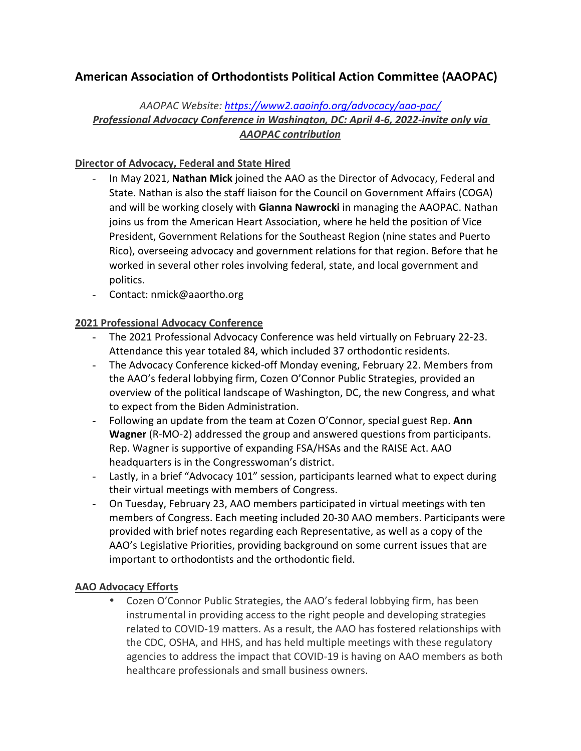# **American Association of Orthodontists Political Action Committee (AAOPAC)**

## *AAOPAC Website: https://www2.aaoinfo.org/advocacy/aao-pac/ Professional Advocacy Conference in Washington, DC: April 4-6, 2022-invite only via AAOPAC contribution*

## **Director of Advocacy, Federal and State Hired**

- In May 2021, Nathan Mick joined the AAO as the Director of Advocacy, Federal and State. Nathan is also the staff liaison for the Council on Government Affairs (COGA) and will be working closely with **Gianna Nawrocki** in managing the AAOPAC. Nathan joins us from the American Heart Association, where he held the position of Vice President, Government Relations for the Southeast Region (nine states and Puerto Rico), overseeing advocacy and government relations for that region. Before that he worked in several other roles involving federal, state, and local government and politics.
- Contact: nmick@aaortho.org

## **2021 Professional Advocacy Conference**

- The 2021 Professional Advocacy Conference was held virtually on February 22-23. Attendance this year totaled 84, which included 37 orthodontic residents.
- The Advocacy Conference kicked-off Monday evening, February 22. Members from the AAO's federal lobbying firm, Cozen O'Connor Public Strategies, provided an overview of the political landscape of Washington, DC, the new Congress, and what to expect from the Biden Administration.
- Following an update from the team at Cozen O'Connor, special guest Rep. Ann **Wagner** (R-MO-2) addressed the group and answered questions from participants. Rep. Wagner is supportive of expanding FSA/HSAs and the RAISE Act. AAO headquarters is in the Congresswoman's district.
- Lastly, in a brief "Advocacy 101" session, participants learned what to expect during their virtual meetings with members of Congress.
- On Tuesday, February 23, AAO members participated in virtual meetings with ten members of Congress. Each meeting included 20-30 AAO members. Participants were provided with brief notes regarding each Representative, as well as a copy of the AAO's Legislative Priorities, providing background on some current issues that are important to orthodontists and the orthodontic field.

#### **AAO Advocacy Efforts**

• Cozen O'Connor Public Strategies, the AAO's federal lobbying firm, has been instrumental in providing access to the right people and developing strategies related to COVID-19 matters. As a result, the AAO has fostered relationships with the CDC, OSHA, and HHS, and has held multiple meetings with these regulatory agencies to address the impact that COVID-19 is having on AAO members as both healthcare professionals and small business owners.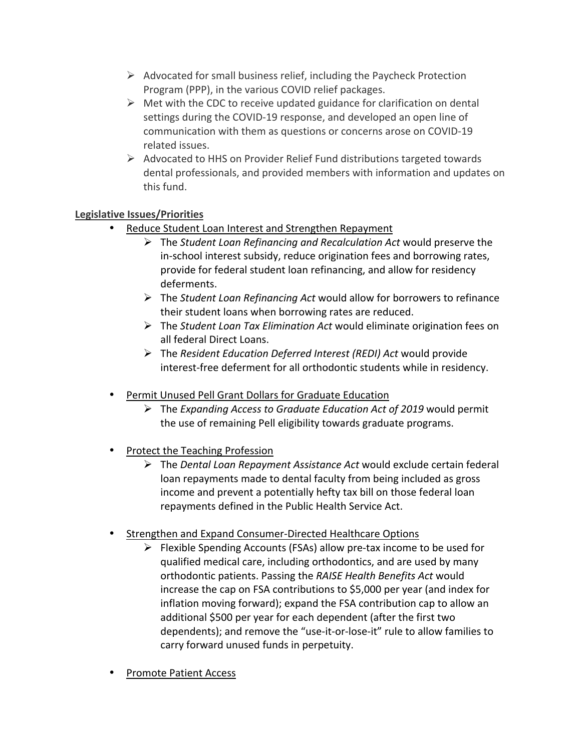- $\triangleright$  Advocated for small business relief, including the Paycheck Protection Program (PPP), in the various COVID relief packages.
- $\triangleright$  Met with the CDC to receive updated guidance for clarification on dental settings during the COVID-19 response, and developed an open line of communication with them as questions or concerns arose on COVID-19 related issues.
- $\triangleright$  Advocated to HHS on Provider Relief Fund distributions targeted towards dental professionals, and provided members with information and updates on this fund.

## **Legislative Issues/Priorities**

- Reduce Student Loan Interest and Strengthen Repayment
	- **E** The *Student Loan Refinancing and Recalculation Act* would preserve the in-school interest subsidy, reduce origination fees and borrowing rates, provide for federal student loan refinancing, and allow for residency deferments.
	- **EX** The Student Loan Refinancing Act would allow for borrowers to refinance their student loans when borrowing rates are reduced.
	- **E** The *Student Loan Tax Elimination Act* would eliminate origination fees on all federal Direct Loans.
	- > The *Resident Education Deferred Interest (REDI)* Act would provide interest-free deferment for all orthodontic students while in residency.
- Permit Unused Pell Grant Dollars for Graduate Education
	- > The *Expanding Access to Graduate Education Act of 2019* would permit the use of remaining Pell eligibility towards graduate programs.
- Protect the Teaching Profession
	- ▶ The *Dental Loan Repayment Assistance Act* would exclude certain federal loan repayments made to dental faculty from being included as gross income and prevent a potentially hefty tax bill on those federal loan repayments defined in the Public Health Service Act.
- Strengthen and Expand Consumer-Directed Healthcare Options
	- $\triangleright$  Flexible Spending Accounts (FSAs) allow pre-tax income to be used for qualified medical care, including orthodontics, and are used by many orthodontic patients. Passing the *RAISE Health Benefits Act* would increase the cap on FSA contributions to \$5,000 per year (and index for inflation moving forward); expand the FSA contribution cap to allow an additional \$500 per year for each dependent (after the first two dependents); and remove the "use-it-or-lose-it" rule to allow families to carry forward unused funds in perpetuity.
- Promote Patient Access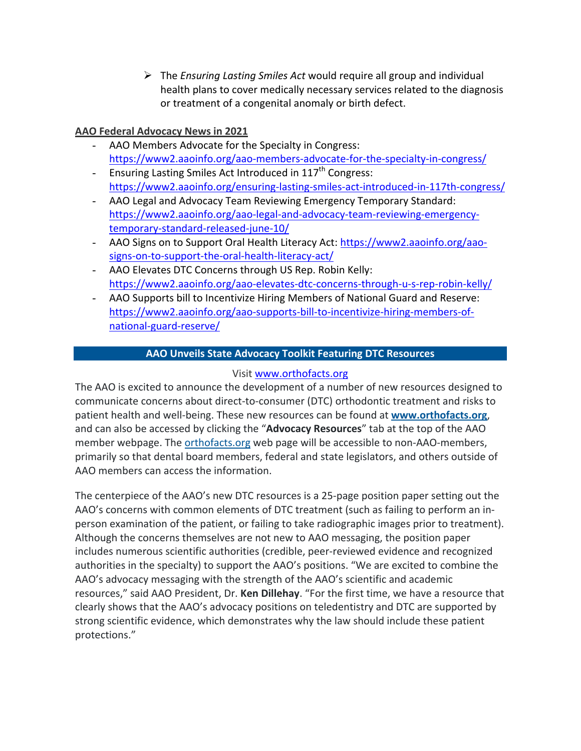$\triangleright$  The *Ensuring Lasting Smiles Act* would require all group and individual health plans to cover medically necessary services related to the diagnosis or treatment of a congenital anomaly or birth defect.

## **AAO Federal Advocacy News in 2021**

- AAO Members Advocate for the Specialty in Congress: https://www2.aaoinfo.org/aao-members-advocate-for-the-specialty-in-congress/
- Ensuring Lasting Smiles Act Introduced in 117<sup>th</sup> Congress: https://www2.aaoinfo.org/ensuring-lasting-smiles-act-introduced-in-117th-congress/
- AAO Legal and Advocacy Team Reviewing Emergency Temporary Standard: https://www2.aaoinfo.org/aao-legal-and-advocacy-team-reviewing-emergencytemporary-standard-released-june-10/
- AAO Signs on to Support Oral Health Literacy Act: https://www2.aaoinfo.org/aaosigns-on-to-support-the-oral-health-literacy-act/
- AAO Elevates DTC Concerns through US Rep. Robin Kelly: https://www2.aaoinfo.org/aao-elevates-dtc-concerns-through-u-s-rep-robin-kelly/
- AAO Supports bill to Incentivize Hiring Members of National Guard and Reserve: https://www2.aaoinfo.org/aao-supports-bill-to-incentivize-hiring-members-ofnational-guard-reserve/

## **AAO Unveils State Advocacy Toolkit Featuring DTC Resources**

## Visit www.orthofacts.org

The AAO is excited to announce the development of a number of new resources designed to communicate concerns about direct-to-consumer (DTC) orthodontic treatment and risks to patient health and well-being. These new resources can be found at www.orthofacts.org, and can also be accessed by clicking the "Advocacy Resources" tab at the top of the AAO member webpage. The orthofacts.org web page will be accessible to non-AAO-members, primarily so that dental board members, federal and state legislators, and others outside of AAO members can access the information.

The centerpiece of the AAO's new DTC resources is a 25-page position paper setting out the AAO's concerns with common elements of DTC treatment (such as failing to perform an inperson examination of the patient, or failing to take radiographic images prior to treatment). Although the concerns themselves are not new to AAO messaging, the position paper includes numerous scientific authorities (credible, peer-reviewed evidence and recognized authorities in the specialty) to support the AAO's positions. "We are excited to combine the AAO's advocacy messaging with the strength of the AAO's scientific and academic resources," said AAO President, Dr. **Ken Dillehay**. "For the first time, we have a resource that clearly shows that the AAO's advocacy positions on teledentistry and DTC are supported by strong scientific evidence, which demonstrates why the law should include these patient protections."